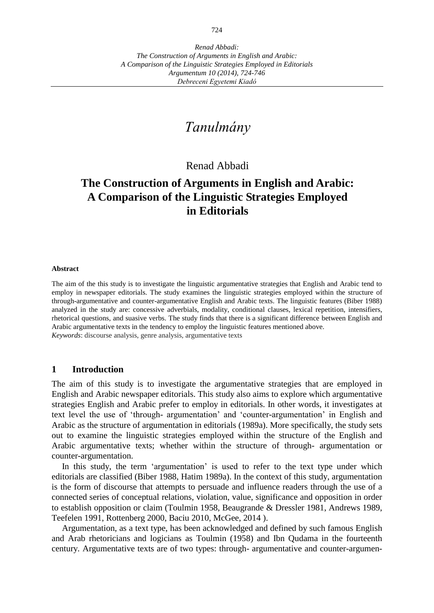# *Tanulmány*

Renad Abbadi

## **The Construction of Arguments in English and Arabic: A Comparison of the Linguistic Strategies Employed in Editorials**

#### **Abstract**

The aim of the this study is to investigate the linguistic argumentative strategies that English and Arabic tend to employ in newspaper editorials. The study examines the linguistic strategies employed within the structure of through-argumentative and counter-argumentative English and Arabic texts. The linguistic features (Biber 1988) analyzed in the study are: concessive adverbials, modality, conditional clauses, lexical repetition, intensifiers, rhetorical questions, and suasive verbs. The study finds that there is a significant difference between English and Arabic argumentative texts in the tendency to employ the linguistic features mentioned above. *Keywords*: discourse analysis, genre analysis, argumentative texts

#### **1 Introduction**

The aim of this study is to investigate the argumentative strategies that are employed in English and Arabic newspaper editorials. This study also aims to explore which argumentative strategies English and Arabic prefer to employ in editorials. In other words, it investigates at text level the use of 'through- argumentation' and 'counter-argumentation' in English and Arabic as the structure of argumentation in editorials (1989a). More specifically, the study sets out to examine the linguistic strategies employed within the structure of the English and Arabic argumentative texts; whether within the structure of through- argumentation or counter-argumentation.

In this study, the term 'argumentation' is used to refer to the text type under which editorials are classified (Biber 1988, Hatim 1989a). In the context of this study, argumentation is the form of discourse that attempts to persuade and influence readers through the use of a connected series of conceptual relations, violation, value, significance and opposition in order to establish opposition or claim (Toulmin 1958, Beaugrande & Dressler 1981, Andrews 1989, Teefelen 1991, Rottenberg 2000, Baciu 2010, McGee, 2014 ).

Argumentation, as a text type, has been acknowledged and defined by such famous English and Arab rhetoricians and logicians as Toulmin (1958) and Ibn Qudama in the fourteenth century. Argumentative texts are of two types: through- argumentative and counter-argumen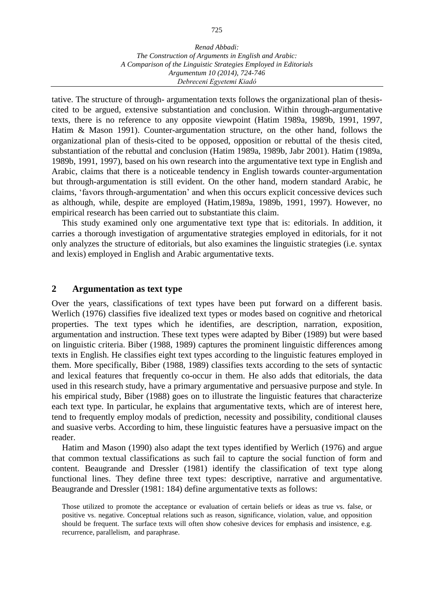tative. The structure of through- argumentation texts follows the organizational plan of thesiscited to be argued, extensive substantiation and conclusion. Within through-argumentative texts, there is no reference to any opposite viewpoint (Hatim 1989a, 1989b, 1991, 1997, Hatim & Mason 1991). Counter-argumentation structure, on the other hand, follows the organizational plan of thesis-cited to be opposed, opposition or rebuttal of the thesis cited, substantiation of the rebuttal and conclusion (Hatim 1989a, 1989b, Jabr 2001). Hatim (1989a, 1989b, 1991, 1997), based on his own research into the argumentative text type in English and Arabic, claims that there is a noticeable tendency in English towards counter-argumentation but through-argumentation is still evident. On the other hand, modern standard Arabic, he claims, 'favors through-argumentation' and when this occurs explicit concessive devices such as although, while, despite are employed (Hatim,1989a, 1989b, 1991, 1997). However, no empirical research has been carried out to substantiate this claim.

This study examined only one argumentative text type that is: editorials. In addition, it carries a thorough investigation of argumentative strategies employed in editorials, for it not only analyzes the structure of editorials, but also examines the linguistic strategies (i.e. syntax and lexis) employed in English and Arabic argumentative texts.

#### **2 Argumentation as text type**

Over the years, classifications of text types have been put forward on a different basis. Werlich (1976) classifies five idealized text types or modes based on cognitive and rhetorical properties. The text types which he identifies, are description, narration, exposition, argumentation and instruction. These text types were adapted by Biber (1989) but were based on linguistic criteria. Biber (1988, 1989) captures the prominent linguistic differences among texts in English. He classifies eight text types according to the linguistic features employed in them. More specifically, Biber (1988, 1989) classifies texts according to the sets of syntactic and lexical features that frequently co-occur in them. He also adds that editorials, the data used in this research study, have a primary argumentative and persuasive purpose and style. In his empirical study, Biber (1988) goes on to illustrate the linguistic features that characterize each text type. In particular, he explains that argumentative texts, which are of interest here, tend to frequently employ modals of prediction, necessity and possibility, conditional clauses and suasive verbs. According to him, these linguistic features have a persuasive impact on the reader.

Hatim and Mason (1990) also adapt the text types identified by Werlich (1976) and argue that common textual classifications as such fail to capture the social function of form and content. Beaugrande and Dressler (1981) identify the classification of text type along functional lines. They define three text types: descriptive, narrative and argumentative. Beaugrande and Dressler (1981: 184) define argumentative texts as follows:

Those utilized to promote the acceptance or evaluation of certain beliefs or ideas as true vs. false, or positive vs. negative. Conceptual relations such as reason, significance, violation, value, and opposition should be frequent. The surface texts will often show cohesive devices for emphasis and insistence, e.g. recurrence, parallelism, and paraphrase.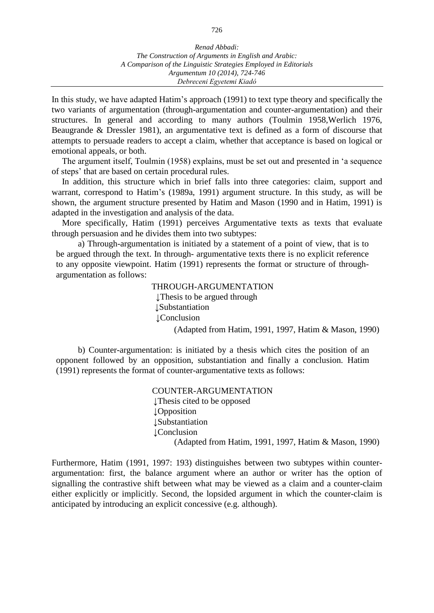In this study, we have adapted Hatim's approach (1991) to text type theory and specifically the two variants of argumentation (through-argumentation and counter-argumentation) and their structures. In general and according to many authors (Toulmin 1958,Werlich 1976, Beaugrande & Dressler 1981), an argumentative text is defined as a form of discourse that attempts to persuade readers to accept a claim, whether that acceptance is based on logical or emotional appeals, or both.

The argument itself, Toulmin (1958) explains, must be set out and presented in 'a sequence of steps' that are based on certain procedural rules.

In addition, this structure which in brief falls into three categories: claim, support and warrant, correspond to Hatim's (1989a, 1991) argument structure. In this study, as will be shown, the argument structure presented by Hatim and Mason (1990 and in Hatim, 1991) is adapted in the investigation and analysis of the data.

More specifically, Hatim (1991) perceives Argumentative texts as texts that evaluate through persuasion and he divides them into two subtypes:

a) Through-argumentation is initiated by a statement of a point of view, that is to be argued through the text. In through- argumentative texts there is no explicit reference to any opposite viewpoint. Hatim (1991) represents the format or structure of throughargumentation as follows:

> THROUGH-ARGUMENTATION ↓Thesis to be argued through ↓Substantiation ↓Conclusion (Adapted from Hatim, 1991, 1997, Hatim & Mason, 1990)

b) Counter-argumentation: is initiated by a thesis which cites the position of an opponent followed by an opposition, substantiation and finally a conclusion. Hatim (1991) represents the format of counter-argumentative texts as follows:

> COUNTER-ARGUMENTATION ↓Thesis cited to be opposed ↓Opposition ↓Substantiation ↓Conclusion (Adapted from Hatim, 1991, 1997, Hatim & Mason, 1990)

Furthermore, Hatim (1991, 1997: 193) distinguishes between two subtypes within counterargumentation: first, the balance argument where an author or writer has the option of signalling the contrastive shift between what may be viewed as a claim and a counter-claim either explicitly or implicitly. Second, the lopsided argument in which the counter-claim is anticipated by introducing an explicit concessive (e.g. although).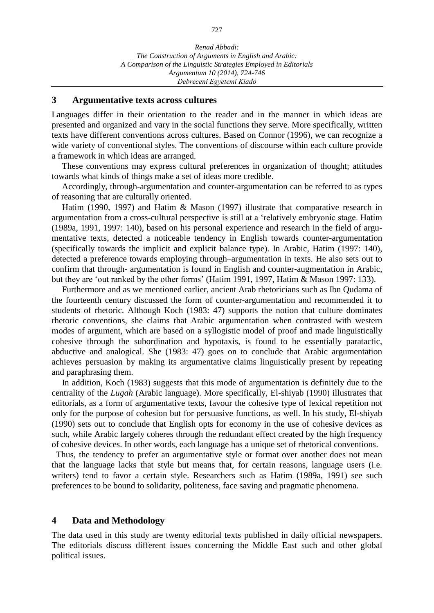#### **3 Argumentative texts across cultures**

Languages differ in their orientation to the reader and in the manner in which ideas are presented and organized and vary in the social functions they serve. More specifically, written texts have different conventions across cultures. Based on Connor (1996), we can recognize a wide variety of conventional styles. The conventions of discourse within each culture provide a framework in which ideas are arranged.

These conventions may express cultural preferences in organization of thought; attitudes towards what kinds of things make a set of ideas more credible.

Accordingly, through-argumentation and counter-argumentation can be referred to as types of reasoning that are culturally oriented.

Hatim (1990, 1997) and Hatim & Mason (1997) illustrate that comparative research in argumentation from a cross-cultural perspective is still at a 'relatively embryonic stage. Hatim (1989a, 1991, 1997: 140), based on his personal experience and research in the field of argumentative texts, detected a noticeable tendency in English towards counter-argumentation (specifically towards the implicit and explicit balance type). In Arabic, Hatim (1997: 140), detected a preference towards employing through–argumentation in texts. He also sets out to confirm that through- argumentation is found in English and counter-augmentation in Arabic, but they are 'out ranked by the other forms' (Hatim 1991, 1997, Hatim & Mason 1997: 133).

Furthermore and as we mentioned earlier, ancient Arab rhetoricians such as Ibn Qudama of the fourteenth century discussed the form of counter-argumentation and recommended it to students of rhetoric. Although Koch (1983: 47) supports the notion that culture dominates rhetoric conventions, she claims that Arabic argumentation when contrasted with western modes of argument, which are based on a syllogistic model of proof and made linguistically cohesive through the subordination and hypotaxis, is found to be essentially paratactic, abductive and analogical. She (1983: 47) goes on to conclude that Arabic argumentation achieves persuasion by making its argumentative claims linguistically present by repeating and paraphrasing them.

In addition, Koch (1983) suggests that this mode of argumentation is definitely due to the centrality of the *Lugah* (Arabic language). More specifically, El-shiyab (1990) illustrates that editorials, as a form of argumentative texts, favour the cohesive type of lexical repetition not only for the purpose of cohesion but for persuasive functions, as well. In his study, El-shiyab (1990) sets out to conclude that English opts for economy in the use of cohesive devices as such, while Arabic largely coheres through the redundant effect created by the high frequency of cohesive devices. In other words, each language has a unique set of rhetorical conventions.

Thus, the tendency to prefer an argumentative style or format over another does not mean that the language lacks that style but means that, for certain reasons, language users (i.e. writers) tend to favor a certain style. Researchers such as Hatim (1989a, 1991) see such preferences to be bound to solidarity, politeness, face saving and pragmatic phenomena.

#### **4 Data and Methodology**

The data used in this study are twenty editorial texts published in daily official newspapers. The editorials discuss different issues concerning the Middle East such and other global political issues.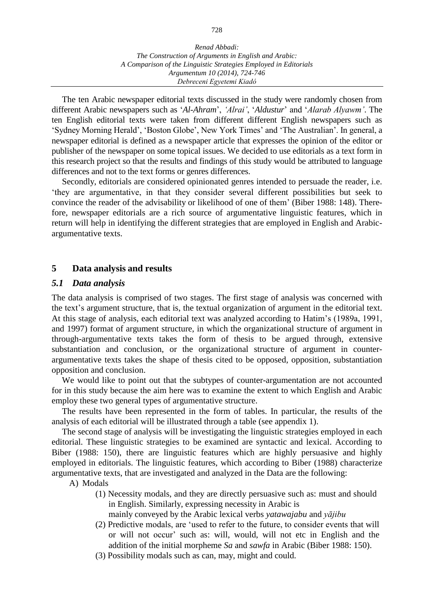The ten Arabic newspaper editorial texts discussed in the study were randomly chosen from different Arabic newspapers such as '*Al-Ahram*', *'Alrai'*, '*Aldustur*' and '*Alarab Alyawm'*. The ten English editorial texts were taken from different different English newspapers such as 'Sydney Morning Herald', 'Boston Globe', New York Times' and 'The Australian'. In general, a newspaper editorial is defined as a newspaper article that expresses the opinion of the editor or publisher of the newspaper on some topical issues. We decided to use editorials as a text form in this research project so that the results and findings of this study would be attributed to language differences and not to the text forms or genres differences.

Secondly, editorials are considered opinionated genres intended to persuade the reader, i.e. 'they are argumentative, in that they consider several different possibilities but seek to convince the reader of the advisability or likelihood of one of them' (Biber 1988: 148). Therefore, newspaper editorials are a rich source of argumentative linguistic features, which in return will help in identifying the different strategies that are employed in English and Arabicargumentative texts.

### **5 Data analysis and results**

#### *5.1 Data analysis*

The data analysis is comprised of two stages. The first stage of analysis was concerned with the text's argument structure, that is, the textual organization of argument in the editorial text. At this stage of analysis, each editorial text was analyzed according to Hatim's (1989a, 1991, and 1997) format of argument structure, in which the organizational structure of argument in through-argumentative texts takes the form of thesis to be argued through, extensive substantiation and conclusion, or the organizational structure of argument in counterargumentative texts takes the shape of thesis cited to be opposed, opposition, substantiation opposition and conclusion.

We would like to point out that the subtypes of counter-argumentation are not accounted for in this study because the aim here was to examine the extent to which English and Arabic employ these two general types of argumentative structure.

The results have been represented in the form of tables. In particular, the results of the analysis of each editorial will be illustrated through a table (see appendix 1).

The second stage of analysis will be investigating the linguistic strategies employed in each editorial. These linguistic strategies to be examined are syntactic and lexical. According to Biber (1988: 150), there are linguistic features which are highly persuasive and highly employed in editorials. The linguistic features, which according to Biber (1988) characterize argumentative texts, that are investigated and analyzed in the Data are the following:

#### A) Modals

- (1) Necessity modals, and they are directly persuasive such as: must and should in English. Similarly, expressing necessity in Arabic is
	- mainly conveyed by the Arabic lexical verbs *yatawajabu* and *yājibu*
- (2) Predictive modals, are 'used to refer to the future, to consider events that will or will not occur' such as: will, would, will not etc in English and the addition of the initial morpheme *Sa* and *sawfa* in Arabic (Biber 1988: 150).
- (3) Possibility modals such as can, may, might and could.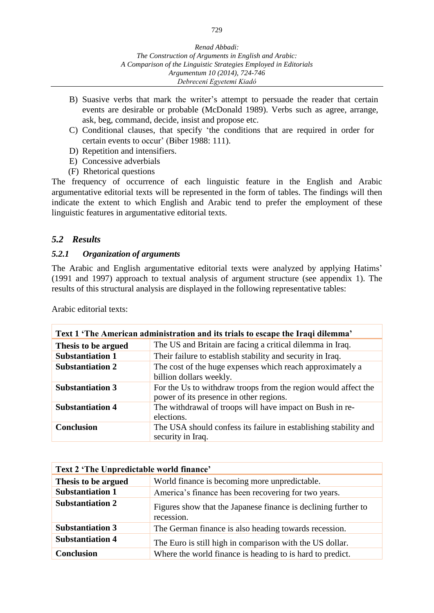- B) Suasive verbs that mark the writer's attempt to persuade the reader that certain events are desirable or probable (McDonald 1989). Verbs such as agree, arrange, ask, beg, command, decide, insist and propose etc.
- C) Conditional clauses, that specify 'the conditions that are required in order for certain events to occur' (Biber 1988: 111).
- D) Repetition and intensifiers.
- E) Concessive adverbials
- (F) Rhetorical questions

The frequency of occurrence of each linguistic feature in the English and Arabic argumentative editorial texts will be represented in the form of tables. The findings will then indicate the extent to which English and Arabic tend to prefer the employment of these linguistic features in argumentative editorial texts.

### *5.2 Results*

### *5.2.1 Organization of arguments*

The Arabic and English argumentative editorial texts were analyzed by applying Hatims' (1991 and 1997) approach to textual analysis of argument structure (see appendix 1). The results of this structural analysis are displayed in the following representative tables:

| Text 1 'The American administration and its trials to escape the Iraqi dilemma' |                                                                                                           |  |  |  |
|---------------------------------------------------------------------------------|-----------------------------------------------------------------------------------------------------------|--|--|--|
| Thesis to be argued                                                             | The US and Britain are facing a critical dilemma in Iraq.                                                 |  |  |  |
| <b>Substantiation 1</b>                                                         | Their failure to establish stability and security in Iraq.                                                |  |  |  |
| <b>Substantiation 2</b>                                                         | The cost of the huge expenses which reach approximately a<br>billion dollars weekly.                      |  |  |  |
| <b>Substantiation 3</b>                                                         | For the Us to withdraw troops from the region would affect the<br>power of its presence in other regions. |  |  |  |
| <b>Substantiation 4</b>                                                         | The withdrawal of troops will have impact on Bush in re-<br>elections.                                    |  |  |  |
| <b>Conclusion</b>                                                               | The USA should confess its failure in establishing stability and<br>security in Iraq.                     |  |  |  |

Arabic editorial texts:

| Text 2 'The Unpredictable world finance' |                                                                              |  |  |  |
|------------------------------------------|------------------------------------------------------------------------------|--|--|--|
| Thesis to be argued                      | World finance is becoming more unpredictable.                                |  |  |  |
| <b>Substantiation 1</b>                  | America's finance has been recovering for two years.                         |  |  |  |
| <b>Substantiation 2</b>                  | Figures show that the Japanese finance is declining further to<br>recession. |  |  |  |
| <b>Substantiation 3</b>                  | The German finance is also heading towards recession.                        |  |  |  |
| <b>Substantiation 4</b>                  | The Euro is still high in comparison with the US dollar.                     |  |  |  |
| <b>Conclusion</b>                        | Where the world finance is heading to is hard to predict.                    |  |  |  |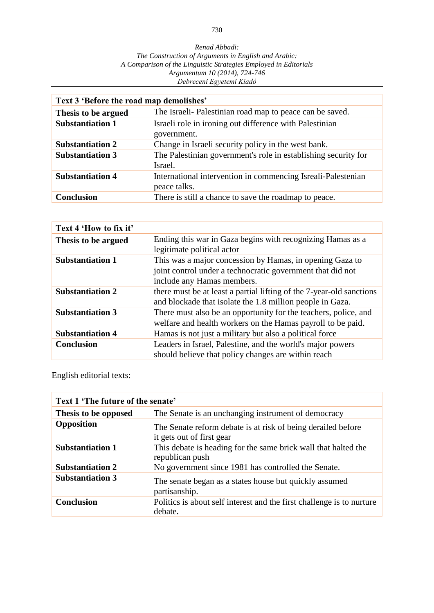| Text 3 'Before the road map demolishes' |                                                                              |  |  |  |
|-----------------------------------------|------------------------------------------------------------------------------|--|--|--|
| Thesis to be argued                     | The Israeli- Palestinian road map to peace can be saved.                     |  |  |  |
| <b>Substantiation 1</b>                 | Israeli role in ironing out difference with Palestinian<br>government.       |  |  |  |
| <b>Substantiation 2</b>                 | Change in Israeli security policy in the west bank.                          |  |  |  |
| <b>Substantiation 3</b>                 | The Palestinian government's role in establishing security for<br>Israel.    |  |  |  |
| <b>Substantiation 4</b>                 | International intervention in commencing Isreali-Palestenian<br>peace talks. |  |  |  |
| <b>Conclusion</b>                       | There is still a chance to save the roadmap to peace.                        |  |  |  |

| Text 4 'How to fix it'  |                                                                      |
|-------------------------|----------------------------------------------------------------------|
| Thesis to be argued     | Ending this war in Gaza begins with recognizing Hamas as a           |
|                         | legitimate political actor                                           |
| <b>Substantiation 1</b> | This was a major concession by Hamas, in opening Gaza to             |
|                         | joint control under a technocratic government that did not           |
|                         | include any Hamas members.                                           |
| <b>Substantiation 2</b> | there must be at least a partial lifting of the 7-year-old sanctions |
|                         | and blockade that isolate the 1.8 million people in Gaza.            |
| <b>Substantiation 3</b> | There must also be an opportunity for the teachers, police, and      |
|                         | welfare and health workers on the Hamas payroll to be paid.          |
| <b>Substantiation 4</b> | Hamas is not just a military but also a political force              |
| <b>Conclusion</b>       | Leaders in Israel, Palestine, and the world's major powers           |
|                         | should believe that policy changes are within reach                  |

English editorial texts:

| Text 1 'The future of the senate' |                                                                                           |  |  |  |
|-----------------------------------|-------------------------------------------------------------------------------------------|--|--|--|
| Thesis to be opposed              | The Senate is an unchanging instrument of democracy                                       |  |  |  |
| Opposition                        | The Senate reform debate is at risk of being derailed before<br>it gets out of first gear |  |  |  |
| <b>Substantiation 1</b>           | This debate is heading for the same brick wall that halted the<br>republican push         |  |  |  |
| <b>Substantiation 2</b>           | No government since 1981 has controlled the Senate.                                       |  |  |  |
| <b>Substantiation 3</b>           | The senate began as a states house but quickly assumed<br>partisanship.                   |  |  |  |
| <b>Conclusion</b>                 | Politics is about self interest and the first challenge is to nurture<br>debate.          |  |  |  |

730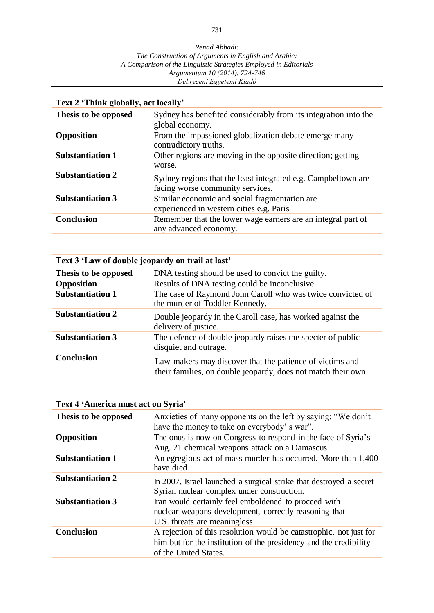| Text 2 'Think globally, act locally' |                                                                                                   |  |  |  |
|--------------------------------------|---------------------------------------------------------------------------------------------------|--|--|--|
| Thesis to be opposed                 | Sydney has benefited considerably from its integration into the<br>global economy.                |  |  |  |
| <b>Opposition</b>                    | From the impassioned globalization debate emerge many<br>contradictory truths.                    |  |  |  |
| <b>Substantiation 1</b>              | Other regions are moving in the opposite direction; getting<br>worse.                             |  |  |  |
| <b>Substantiation 2</b>              | Sydney regions that the least integrated e.g. Campbeltown are<br>facing worse community services. |  |  |  |
| <b>Substantiation 3</b>              | Similar economic and social fragmentation are<br>experienced in western cities e.g. Paris         |  |  |  |
| <b>Conclusion</b>                    | Remember that the lower wage earners are an integral part of<br>any advanced economy.             |  |  |  |

| Text 3 'Law of double jeopardy on trail at last' |                                                                                                                           |  |  |  |
|--------------------------------------------------|---------------------------------------------------------------------------------------------------------------------------|--|--|--|
| Thesis to be opposed                             | DNA testing should be used to convict the guilty.                                                                         |  |  |  |
| Opposition                                       | Results of DNA testing could be inconclusive.                                                                             |  |  |  |
| <b>Substantiation 1</b>                          | The case of Raymond John Caroll who was twice convicted of<br>the murder of Toddler Kennedy.                              |  |  |  |
| <b>Substantiation 2</b>                          | Double jeopardy in the Caroll case, has worked against the<br>delivery of justice.                                        |  |  |  |
| <b>Substantiation 3</b>                          | The defence of double jeopardy raises the specter of public<br>disquiet and outrage.                                      |  |  |  |
| <b>Conclusion</b>                                | Law-makers may discover that the patience of victims and<br>their families, on double jeopardy, does not match their own. |  |  |  |

| <b>Text 4 'America must act on Syria'</b> |                                                                                                                                                                  |
|-------------------------------------------|------------------------------------------------------------------------------------------------------------------------------------------------------------------|
| Thesis to be opposed                      | Anxieties of many opponents on the left by saying: "We don't<br>have the money to take on everybody's war".                                                      |
| Opposition                                | The onus is now on Congress to respond in the face of Syria's<br>Aug. 21 chemical weapons attack on a Damascus.                                                  |
| <b>Substantiation 1</b>                   | An egregious act of mass murder has occurred. More than 1,400<br>have died                                                                                       |
| <b>Substantiation 2</b>                   | In 2007, Israel launched a surgical strike that destroyed a secret<br>Syrian nuclear complex under construction.                                                 |
| <b>Substantiation 3</b>                   | Iran would certainly feel emboldened to proceed with<br>nuclear weapons development, correctly reasoning that<br>U.S. threats are meaningless.                   |
| <b>Conclusion</b>                         | A rejection of this resolution would be catastrophic, not just for<br>him but for the institution of the presidency and the credibility<br>of the United States. |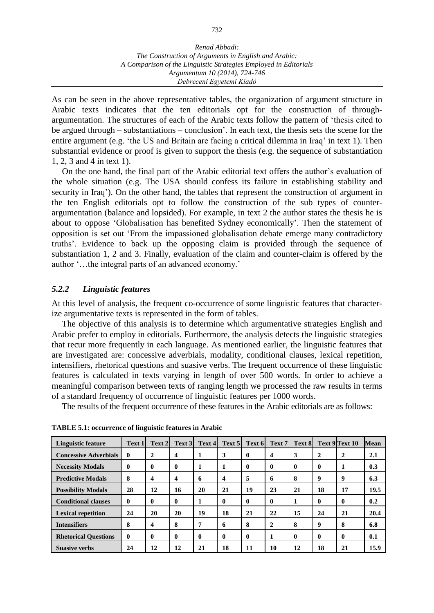As can be seen in the above representative tables, the organization of argument structure in Arabic texts indicates that the ten editorials opt for the construction of throughargumentation. The structures of each of the Arabic texts follow the pattern of 'thesis cited to be argued through – substantiations – conclusion'. In each text, the thesis sets the scene for the entire argument (e.g. 'the US and Britain are facing a critical dilemma in Iraq' in text 1). Then substantial evidence or proof is given to support the thesis (e.g. the sequence of substantiation 1, 2, 3 and 4 in text 1).

On the one hand, the final part of the Arabic editorial text offers the author's evaluation of the whole situation (e.g. The USA should confess its failure in establishing stability and security in Iraq'). On the other hand, the tables that represent the construction of argument in the ten English editorials opt to follow the construction of the sub types of counterargumentation (balance and lopsided). For example, in text 2 the author states the thesis he is about to oppose 'Globalisation has benefited Sydney economically'. Then the statement of opposition is set out 'From the impassioned globalisation debate emerge many contradictory truths'. Evidence to back up the opposing claim is provided through the sequence of substantiation 1, 2 and 3. Finally, evaluation of the claim and counter-claim is offered by the author '…the integral parts of an advanced economy.'

### *5.2.2 Linguistic features*

At this level of analysis, the frequent co-occurrence of some linguistic features that characterize argumentative texts is represented in the form of tables.

The objective of this analysis is to determine which argumentative strategies English and Arabic prefer to employ in editorials. Furthermore, the analysis detects the linguistic strategies that recur more frequently in each language. As mentioned earlier, the linguistic features that are investigated are: concessive adverbials, modality, conditional clauses, lexical repetition, intensifiers, rhetorical questions and suasive verbs. The frequent occurrence of these linguistic features is calculated in texts varying in length of over 500 words. In order to achieve a meaningful comparison between texts of ranging length we processed the raw results in terms of a standard frequency of occurrence of linguistic features per 1000 words.

The results of the frequent occurrence of these features in the Arabic editorials are as follows:

| <b>Linguistic feature</b>    | Text 1       | Text 2       | Text 3                  | Text 4   | Text 5       | Text 6   | Text 7       | Text 8       |              | Text 9 Text 10 | <b>Mean</b> |
|------------------------------|--------------|--------------|-------------------------|----------|--------------|----------|--------------|--------------|--------------|----------------|-------------|
| <b>Concessive Adverbials</b> | $\mathbf{0}$ | $\mathbf 2$  | $\overline{\mathbf{4}}$ |          | 3            | $\bf{0}$ | 4            | 3            | $\mathbf 2$  |                | 2.1         |
| <b>Necessity Modals</b>      | $\mathbf{0}$ | $\mathbf{0}$ | 0                       | 1        |              | $\bf{0}$ | $\bf{0}$     | $\mathbf{0}$ | $\mathbf{0}$ |                | 0.3         |
| <b>Predictive Modals</b>     | 8            | 4            | 4                       | 6        | 4            | 5        | 6            | 8            | 9            | 9              | 6.3         |
| <b>Possibility Modals</b>    | 28           | 12           | 16                      | 20       | 21           | 19       | 23           | 21           | 18           | 17             | 19.5        |
| <b>Conditional clauses</b>   | $\mathbf{0}$ | $\mathbf{0}$ | 0                       | 1        | $\mathbf{0}$ | $\bf{0}$ | $\bf{0}$     | 1            | $\mathbf{0}$ | 0              | 0.2         |
| <b>Lexical repetition</b>    | 24           | 20           | 20                      | 19       | 18           | 21       | 22           | 15           | 24           | 21             | 20.4        |
| <b>Intensifiers</b>          | 8            | 4            | 8                       | 7        | 6            | 8        | $\mathbf{2}$ | 8            | 9            | 8              | 6.8         |
| <b>Rhetorical Ouestions</b>  | $\mathbf{0}$ | $\mathbf 0$  | 0                       | $\bf{0}$ | $\mathbf 0$  | 0        |              | $\mathbf{0}$ | $\mathbf{0}$ | 0              | 0.1         |
| <b>Suasive verbs</b>         | 24           | 12           | 12                      | 21       | 18           | 11       | 10           | 12           | 18           | 21             | 15.9        |

**TABLE 5.1: occurrence of linguistic features in Arabic**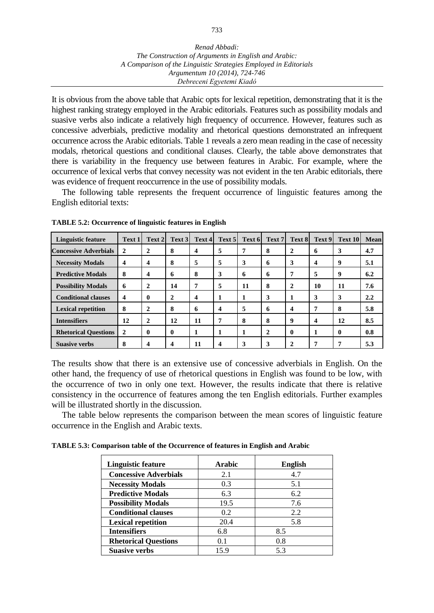It is obvious from the above table that Arabic opts for lexical repetition, demonstrating that it is the highest ranking strategy employed in the Arabic editorials. Features such as possibility modals and suasive verbs also indicate a relatively high frequency of occurrence. However, features such as concessive adverbials, predictive modality and rhetorical questions demonstrated an infrequent occurrence across the Arabic editorials. Table 1 reveals a zero mean reading in the case of necessity modals, rhetorical questions and conditional clauses. Clearly, the table above demonstrates that there is variability in the frequency use between features in Arabic. For example, where the occurrence of lexical verbs that convey necessity was not evident in the ten Arabic editorials, there was evidence of frequent reoccurrence in the use of possibility modals.

The following table represents the frequent occurrence of linguistic features among the English editorial texts:

| <b>Linguistic feature</b>    | Text 1                  | Text 2         | Text 3       | Text 4 | Text 5 | Text 6 | Text 7       | Text 8         | Text 9 | Text 10 | Mean |
|------------------------------|-------------------------|----------------|--------------|--------|--------|--------|--------------|----------------|--------|---------|------|
| <b>Concessive Adverbials</b> | $\overline{2}$          | 2              | 8            | 4      | 5      | 7      | 8            | 2              | 6      | 3       | 4.7  |
| <b>Necessity Modals</b>      | 4                       | 4              | 8            | 5      | 5      | 3      | 6            | 3              | 4      | 9       | 5.1  |
| <b>Predictive Modals</b>     | 8                       | 4              | 6            | 8      | 3      | 6      | 6            | 7              | 5      | 9       | 6.2  |
| <b>Possibility Modals</b>    | 6                       | $\overline{2}$ | 14           | 7      | 5      | 11     | 8            | $\mathbf{2}$   | 10     | 11      | 7.6  |
| <b>Conditional clauses</b>   | $\overline{\mathbf{4}}$ | 0              | $\mathbf{2}$ | 4      |        | 1      | 3            | 1              | 3      | 3       | 2.2  |
| <b>Lexical repetition</b>    | 8                       | 2              | 8            | 6      | 4      | 5      | 6            | $\overline{4}$ | 7      | 8       | 5.8  |
| <b>Intensifiers</b>          | 12                      | 2              | 12           | 11     | 7      | 8      | 8            | 9              | 4      | 12      | 8.5  |
| <b>Rhetorical Ouestions</b>  | $\mathbf{2}$            | 0              | $\mathbf{0}$ | 1      |        | 1      | $\mathbf{2}$ | $\bf{0}$       |        | 0       | 0.8  |
| <b>Suasive verbs</b>         | 8                       | 4              | 4            | 11     | 4      | 3      | 3            | $\mathbf{2}$   | 7      |         | 5.3  |

**TABLE 5.2: Occurrence of linguistic features in English**

The results show that there is an extensive use of concessive adverbials in English. On the other hand, the frequency of use of rhetorical questions in English was found to be low, with the occurrence of two in only one text. However, the results indicate that there is relative consistency in the occurrence of features among the ten English editorials. Further examples will be illustrated shortly in the discussion.

The table below represents the comparison between the mean scores of linguistic feature occurrence in the English and Arabic texts.

**TABLE 5.3: Comparison table of the Occurrence of features in English and Arabic**

| Linguistic feature           | Arabic | <b>English</b> |
|------------------------------|--------|----------------|
| <b>Concessive Adverbials</b> | 2.1    | 4.7            |
| <b>Necessity Modals</b>      | 0.3    | 5.1            |
| <b>Predictive Modals</b>     | 6.3    | 6.2            |
| <b>Possibility Modals</b>    | 19.5   | 7.6            |
| <b>Conditional clauses</b>   | 0.2    | 2.2            |
| <b>Lexical repetition</b>    | 20.4   | 5.8            |
| <b>Intensifiers</b>          | 6.8    | 8.5            |
| <b>Rhetorical Questions</b>  | 0.1    | 0.8            |
| <b>Suasive verbs</b>         | 15.9   | 5.3            |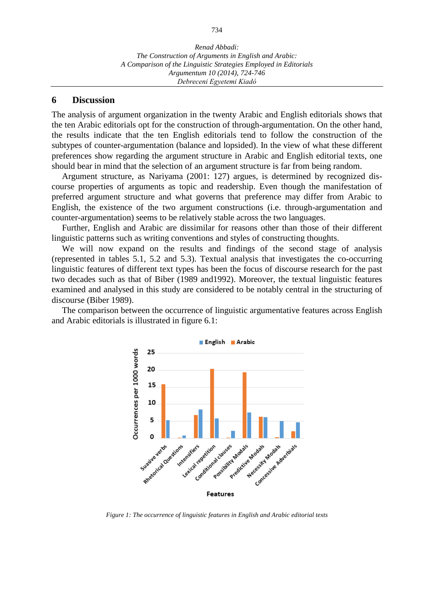#### **6 Discussion**

The analysis of argument organization in the twenty Arabic and English editorials shows that the ten Arabic editorials opt for the construction of through-argumentation. On the other hand, the results indicate that the ten English editorials tend to follow the construction of the subtypes of counter-argumentation (balance and lopsided). In the view of what these different preferences show regarding the argument structure in Arabic and English editorial texts, one should bear in mind that the selection of an argument structure is far from being random.

Argument structure, as Nariyama (2001: 127) argues, is determined by recognized discourse properties of arguments as topic and readership. Even though the manifestation of preferred argument structure and what governs that preference may differ from Arabic to English, the existence of the two argument constructions (i.e. through-argumentation and counter-argumentation) seems to be relatively stable across the two languages.

Further, English and Arabic are dissimilar for reasons other than those of their different linguistic patterns such as writing conventions and styles of constructing thoughts.

We will now expand on the results and findings of the second stage of analysis (represented in tables 5.1, 5.2 and 5.3). Textual analysis that investigates the co-occurring linguistic features of different text types has been the focus of discourse research for the past two decades such as that of Biber (1989 and1992). Moreover, the textual linguistic features examined and analysed in this study are considered to be notably central in the structuring of discourse (Biber 1989).

The comparison between the occurrence of linguistic argumentative features across English and Arabic editorials is illustrated in figure 6.1:



*Figure 1: The occurrence of linguistic features in English and Arabic editorial texts*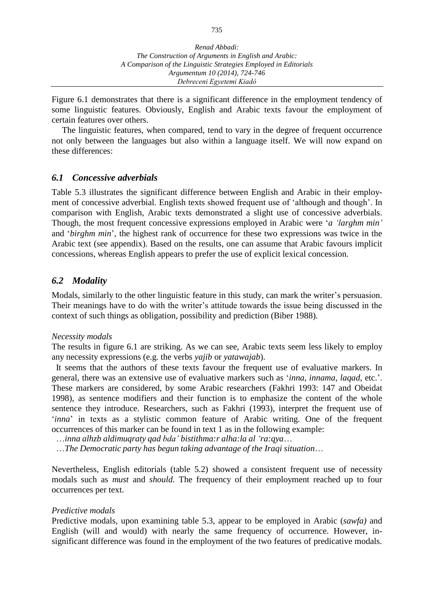Figure 6.1 demonstrates that there is a significant difference in the employment tendency of some linguistic features. Obviously, English and Arabic texts favour the employment of certain features over others.

The linguistic features, when compared, tend to vary in the degree of frequent occurrence not only between the languages but also within a language itself. We will now expand on these differences:

### *6.1 Concessive adverbials*

Table 5.3 illustrates the significant difference between English and Arabic in their employment of concessive adverbial. English texts showed frequent use of 'although and though'. In comparison with English, Arabic texts demonstrated a slight use of concessive adverbials. Though, the most frequent concessive expressions employed in Arabic were '*a 'larghm min'* and '*birghm min*', the highest rank of occurrence for these two expressions was twice in the Arabic text (see appendix). Based on the results, one can assume that Arabic favours implicit concessions, whereas English appears to prefer the use of explicit lexical concession.

### *6.2 Modality*

Modals, similarly to the other linguistic feature in this study, can mark the writer's persuasion. Their meanings have to do with the writer's attitude towards the issue being discussed in the context of such things as obligation, possibility and prediction (Biber 1988).

#### *Necessity modals*

The results in figure 6.1 are striking. As we can see, Arabic texts seem less likely to employ any necessity expressions (e.g. the verbs *yajib* or *yatawajab*).

It seems that the authors of these texts favour the frequent use of evaluative markers. In general, there was an extensive use of evaluative markers such as '*inna, innama, laqad*, etc.'. These markers are considered, by some Arabic researchers (Fakhri 1993: 147 and Obeidat 1998), as sentence modifiers and their function is to emphasize the content of the whole sentence they introduce. Researchers, such as Fakhri (1993), interpret the frequent use of '*inna*' in texts as a stylistic common feature of Arabic writing. One of the frequent occurrences of this marker can be found in text 1 as in the following example:

…*inna alhzb aldimuqraty qad bda' bistithma:r alha:la al 'ra:qya*…

…*The Democratic party has begun taking advantage of the Iraqi situation*…

Nevertheless, English editorials (table 5.2) showed a consistent frequent use of necessity modals such as *must* and *should.* The frequency of their employment reached up to four occurrences per text.

### *Predictive modals*

Predictive modals, upon examining table 5.3, appear to be employed in Arabic (*sawfa)* and English (will and would) with nearly the same frequency of occurrence. However, insignificant difference was found in the employment of the two features of predicative modals.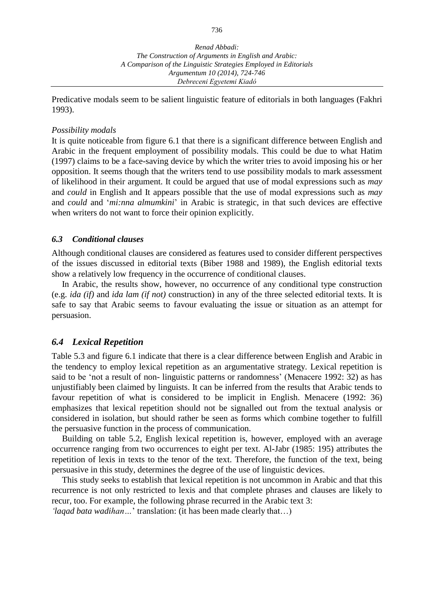Predicative modals seem to be salient linguistic feature of editorials in both languages (Fakhri 1993).

#### *Possibility modals*

It is quite noticeable from figure 6.1 that there is a significant difference between English and Arabic in the frequent employment of possibility modals. This could be due to what Hatim (1997) claims to be a face-saving device by which the writer tries to avoid imposing his or her opposition. It seems though that the writers tend to use possibility modals to mark assessment of likelihood in their argument. It could be argued that use of modal expressions such as *may* and *could* in English and It appears possible that the use of modal expressions such as *may* and *could* and '*mi:nna almumkini*' in Arabic is strategic, in that such devices are effective when writers do not want to force their opinion explicitly.

#### *6.3 Conditional clauses*

Although conditional clauses are considered as features used to consider different perspectives of the issues discussed in editorial texts (Biber 1988 and 1989), the English editorial texts show a relatively low frequency in the occurrence of conditional clauses.

In Arabic, the results show, however, no occurrence of any conditional type construction (e.g. *ida (if)* and *ida lam (if not)* construction) in any of the three selected editorial texts. It is safe to say that Arabic seems to favour evaluating the issue or situation as an attempt for persuasion.

### *6.4 Lexical Repetition*

Table 5.3 and figure 6.1 indicate that there is a clear difference between English and Arabic in the tendency to employ lexical repetition as an argumentative strategy. Lexical repetition is said to be 'not a result of non- linguistic patterns or randomness' (Menacere 1992: 32) as has unjustifiably been claimed by linguists. It can be inferred from the results that Arabic tends to favour repetition of what is considered to be implicit in English. Menacere (1992: 36) emphasizes that lexical repetition should not be signalled out from the textual analysis or considered in isolation, but should rather be seen as forms which combine together to fulfill the persuasive function in the process of communication.

Building on table 5.2, English lexical repetition is, however, employed with an average occurrence ranging from two occurrences to eight per text. Al-Jabr (1985: 195) attributes the repetition of lexis in texts to the tenor of the text. Therefore, the function of the text, being persuasive in this study, determines the degree of the use of linguistic devices.

This study seeks to establish that lexical repetition is not uncommon in Arabic and that this recurrence is not only restricted to lexis and that complete phrases and clauses are likely to recur, too. For example, the following phrase recurred in the Arabic text 3:

*'laqad bata wadihan…*' translation: (it has been made clearly that…)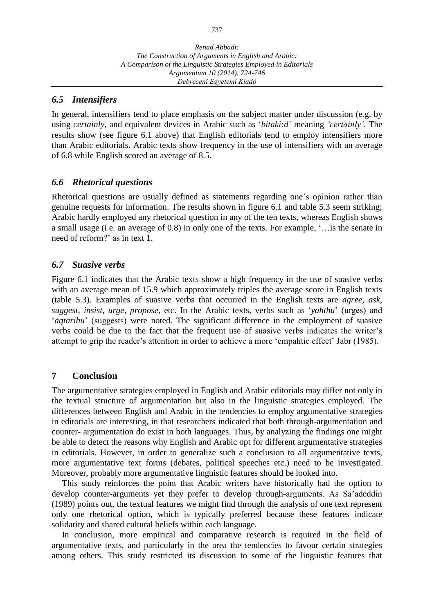*A Comparison of the Linguistic Strategies Employed in Editorials Argumentum 10 (2014), 724-746 Debreceni Egyetemi Kiadó*

### *6.5 Intensifiers*

In general, intensifiers tend to place emphasis on the subject matter under discussion (e.g. by using *certainly*, and equivalent devices in Arabic such as '*bitaki:d'* meaning *'certainly'*. The results show (see figure 6.1 above) that English editorials tend to employ intensifiers more than Arabic editorials. Arabic texts show frequency in the use of intensifiers with an average of 6.8 while English scored an average of 8.5.

### *6.6 Rhetorical questions*

Rhetorical questions are usually defined as statements regarding one's opinion rather than genuine requests for information. The results shown in figure 6.1 and table 5.3 seem striking; Arabic hardly employed any rhetorical question in any of the ten texts, whereas English shows a small usage (i.e. an average of 0.8) in only one of the texts. For example, '…is the senate in need of reform?' as in text 1.

### *6.7 Suasive verbs*

Figure 6.1 indicates that the Arabic texts show a high frequency in the use of suasive verbs with an average mean of 15.9 which approximately triples the average score in English texts (table 5.3). Examples of suasive verbs that occurred in the English texts are *agree, ask*, *suggest*, *insist*, *urge*, *propose*, etc. In the Arabic texts, verbs such as '*yahthu*' (urges) and '*aqtarihu*' (suggests) were noted. The significant difference in the employment of suasive verbs could be due to the fact that the frequent use of suasive verbs indicates the writer's attempt to grip the reader's attention in order to achieve a more 'empahtic effect' Jabr (1985).

### **7 Conclusion**

The argumentative strategies employed in English and Arabic editorials may differ not only in the textual structure of argumentation but also in the linguistic strategies employed. The differences between English and Arabic in the tendencies to employ argumentative strategies in editorials are interesting, in that researchers indicated that both through-argumentation and counter- argumentation do exist in both languages. Thus, by analyzing the findings one might be able to detect the reasons why English and Arabic opt for different argumentative strategies in editorials. However, in order to generalize such a conclusion to all argumentative texts, more argumentative text forms (debates, political speeches etc.) need to be investigated. Moreover, probably more argumentative linguistic features should be looked into.

This study reinforces the point that Arabic writers have historically had the option to develop counter-arguments yet they prefer to develop through-arguments. As Sa'adeddin (1989) points out, the textual features we might find through the analysis of one text represent only one rhetorical option, which is typically preferred because these features indicate solidarity and shared cultural beliefs within each language.

In conclusion, more empirical and comparative research is required in the field of argumentative texts, and particularly in the area the tendencies to favour certain strategies among others. This study restricted its discussion to some of the linguistic features that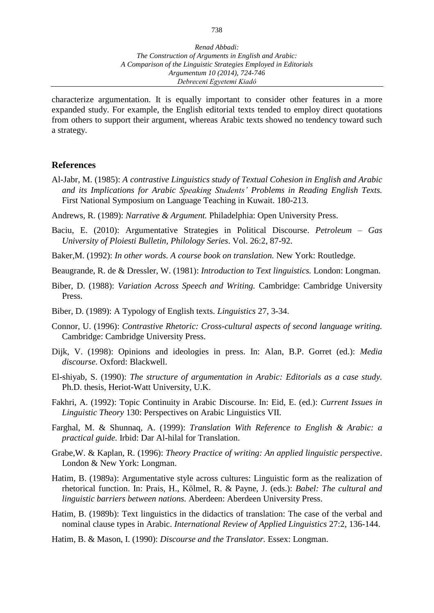characterize argumentation. It is equally important to consider other features in a more expanded study. For example, the English editorial texts tended to employ direct quotations from others to support their argument, whereas Arabic texts showed no tendency toward such a strategy.

#### **References**

- Al-Jabr, M. (1985): *A contrastive Linguistics study of Textual Cohesion in English and Arabic and its Implications for Arabic Speaking Students' Problems in Reading English Texts.* First National Symposium on Language Teaching in Kuwait. 180-213.
- Andrews, R. (1989): *Narrative & Argument.* Philadelphia: Open University Press.
- Baciu, E. (2010): Argumentative Strategies in Political Discourse. *[Petroleum](javascript:__doLinkPostBack() – Gas [University](javascript:__doLinkPostBack() of Ploiesti Bulletin, Philology Series*. Vol. 26:2, 87-92.
- Baker,M. (1992): *In other words. A course book on translation.* New York: Routledge.
- Beaugrande, R. de & Dressler, W. (1981): *Introduction to Text linguistics.* London: Longman.
- Biber, D. (1988): *Variation Across Speech and Writing.* Cambridge: Cambridge University Press.
- Biber, D. (1989): A Typology of English texts. *Linguistics* 27, 3-34.
- Connor, U. (1996): *Contrastive Rhetoric: Cross-cultural aspects of second language writing.* Cambridge: Cambridge University Press.
- Dijk, V. (1998): Opinions and ideologies in press. In: Alan, B.P. Gorret (ed.): *Media discourse.* Oxford: Blackwell.
- El-shiyab, S. (1990): *The structure of argumentation in Arabic: Editorials as a case study.* Ph.D. thesis, Heriot-Watt University, U.K.
- Fakhri, A. (1992): Topic Continuity in Arabic Discourse. In: Eid, E. (ed.): *Current Issues in Linguistic Theory* 130: Perspectives on Arabic Linguistics VII.
- Farghal, M. & Shunnaq, A. (1999): *Translation With Reference to English & Arabic: a practical guide.* Irbid: Dar Al-hilal for Translation.
- Grabe,W. & Kaplan, R. (1996): *Theory Practice of writing: An applied linguistic perspective*. London & New York: Longman.
- Hatim, B. (1989a): Argumentative style across cultures: Linguistic form as the realization of rhetorical function. In: Prais, H., Kölmel, R. & Payne, J. (eds.): *Babel: The cultural and linguistic barriers between nations.* Aberdeen: Aberdeen University Press.
- Hatim, B. (1989b): Text linguistics in the didactics of translation: The case of the verbal and nominal clause types in Arabic. *International Review of Applied Linguistics* 27:2, 136-144.
- Hatim, B. & Mason, I. (1990): *Discourse and the Translator.* Essex: Longman.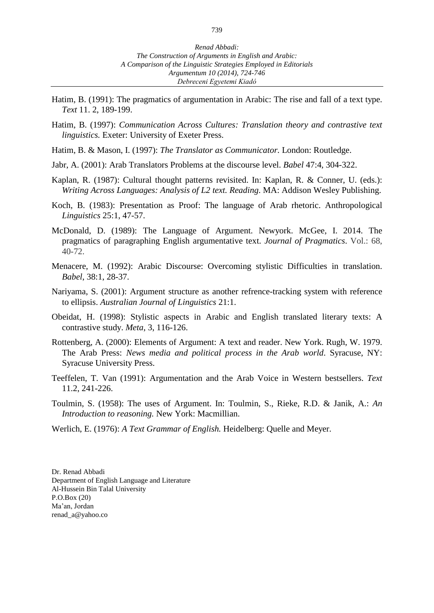- Hatim, B. (1991): The pragmatics of argumentation in Arabic: The rise and fall of a text type. *Text* 11. 2, 189-199.
- Hatim, B. (1997): *Communication Across Cultures: Translation theory and contrastive text linguistics.* Exeter: University of Exeter Press.
- Hatim, B. & Mason, I. (1997): *The Translator as Communicator.* London: Routledge.
- Jabr, A. (2001): Arab Translators Problems at the discourse level. *Babel* 47:4, 304-322.
- Kaplan, R. (1987): Cultural thought patterns revisited. In: Kaplan, R. & Conner, U. (eds.): *Writing Across Languages: Analysis of L2 text. Reading*. MA: Addison Wesley Publishing.
- Koch, B. (1983): Presentation as Proof: The language of Arab rhetoric. Anthropological *Linguistics* 25:1, 47-57.
- McDonald, D. (1989): The Language of Argument. Newyork. [McGee,](javascript:__doLinkPostBack() I. 2014. The pragmatics of paragraphing English argumentative text. *Journal of [Pragmatics](javascript:__doLinkPostBack()*. Vol.: 68, 40-72.
- Menacere, M. (1992): Arabic Discourse: Overcoming stylistic Difficulties in translation. *Babel*, 38:1, 28-37.
- Nariyama, S. (2001): Argument structure as another refrence-tracking system with reference to ellipsis. *Australian Journal of Linguistics* 21:1.
- Obeidat, H. (1998): Stylistic aspects in Arabic and English translated literary texts: A contrastive study. *Meta*, 3, 116-126.
- Rottenberg, A. (2000): Elements of Argument: A text and reader. New York. Rugh, W. 1979. The Arab Press: *News media and political process in the Arab world*. Syracuse, NY: Syracuse University Press.
- Teeffelen, T. Van (1991): Argumentation and the Arab Voice in Western bestsellers. *Text* 11.2, 241-226.
- Toulmin, S. (1958): The uses of Argument. In: Toulmin, S., Rieke, R.D. & Janik, A.: *An Introduction to reasoning.* New York: Macmillian.
- Werlich, E. (1976): *A Text Grammar of English.* Heidelberg: Quelle and Meyer.

Dr. Renad Abbadi Department of English Language and Literature Al-Hussein Bin Talal University P.O.Box (20) Ma'an, Jordan renad\_a@yahoo.co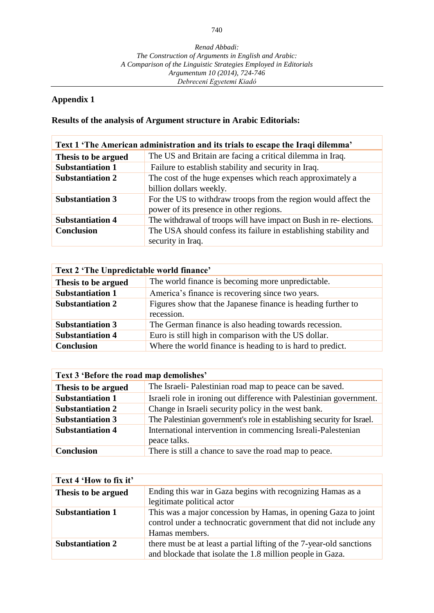## **Appendix 1**

## **Results of the analysis of Argument structure in Arabic Editorials:**

| Text 1 'The American administration and its trials to escape the Iraqi dilemma' |                                                                                                           |  |  |  |
|---------------------------------------------------------------------------------|-----------------------------------------------------------------------------------------------------------|--|--|--|
| Thesis to be argued                                                             | The US and Britain are facing a critical dilemma in Iraq.                                                 |  |  |  |
| <b>Substantiation 1</b>                                                         | Failure to establish stability and security in Iraq.                                                      |  |  |  |
| <b>Substantiation 2</b>                                                         | The cost of the huge expenses which reach approximately a<br>billion dollars weekly.                      |  |  |  |
| <b>Substantiation 3</b>                                                         | For the US to withdraw troops from the region would affect the<br>power of its presence in other regions. |  |  |  |
| <b>Substantiation 4</b>                                                         | The withdrawal of troops will have impact on Bush in re-elections.                                        |  |  |  |
| <b>Conclusion</b>                                                               | The USA should confess its failure in establishing stability and<br>security in Iraq.                     |  |  |  |

| Text 2 'The Unpredictable world finance' |                                                                            |
|------------------------------------------|----------------------------------------------------------------------------|
| Thesis to be argued                      | The world finance is becoming more unpredictable.                          |
| <b>Substantiation 1</b>                  | America's finance is recovering since two years.                           |
| <b>Substantiation 2</b>                  | Figures show that the Japanese finance is heading further to<br>recession. |
| <b>Substantiation 3</b>                  | The German finance is also heading towards recession.                      |
| <b>Substantiation 4</b>                  | Euro is still high in comparison with the US dollar.                       |
| <b>Conclusion</b>                        | Where the world finance is heading to is hard to predict.                  |

| Text 3 'Before the road map demolishes' |                                                                              |
|-----------------------------------------|------------------------------------------------------------------------------|
| Thesis to be argued                     | The Israeli- Palestinian road map to peace can be saved.                     |
| <b>Substantiation 1</b>                 | Israeli role in ironing out difference with Palestinian government.          |
| <b>Substantiation 2</b>                 | Change in Israeli security policy in the west bank.                          |
| <b>Substantiation 3</b>                 | The Palestinian government's role in establishing security for Israel.       |
| <b>Substantiation 4</b>                 | International intervention in commencing Isreali-Palestenian<br>peace talks. |
| <b>Conclusion</b>                       | There is still a chance to save the road map to peace.                       |

| Text 4 'How to fix it'  |                                                                                                                                                      |
|-------------------------|------------------------------------------------------------------------------------------------------------------------------------------------------|
| Thesis to be argued     | Ending this war in Gaza begins with recognizing Hamas as a<br>legitimate political actor                                                             |
| <b>Substantiation 1</b> | This was a major concession by Hamas, in opening Gaza to joint<br>control under a technocratic government that did not include any<br>Hamas members. |
| <b>Substantiation 2</b> | there must be at least a partial lifting of the 7-year-old sanctions<br>and blockade that isolate the 1.8 million people in Gaza.                    |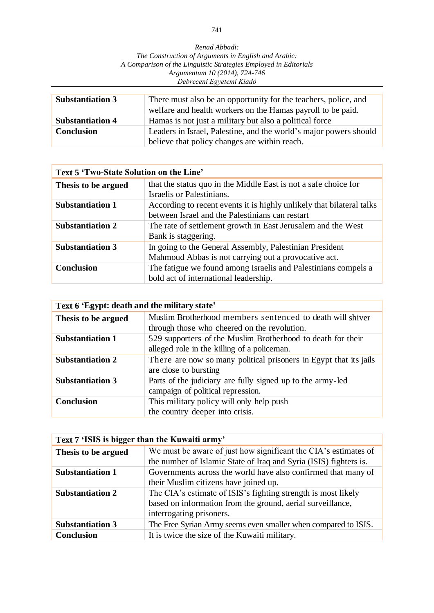*Renad Abbadi: The Construction of Arguments in English and Arabic: A Comparison of the Linguistic Strategies Employed in Editorials Argumentum 10 (2014), 724-746 Debreceni Egyetemi Kiadó*

| <b>Substantiation 3</b> | There must also be an opportunity for the teachers, police, and<br>welfare and health workers on the Hamas payroll to be paid. |
|-------------------------|--------------------------------------------------------------------------------------------------------------------------------|
| <b>Substantiation 4</b> | Hamas is not just a military but also a political force                                                                        |
| <b>Conclusion</b>       | Leaders in Israel, Palestine, and the world's major powers should<br>believe that policy changes are within reach.             |

| Text 5 'Two-State Solution on the Line' |                                                                       |
|-----------------------------------------|-----------------------------------------------------------------------|
| Thesis to be argued                     | that the status quo in the Middle East is not a safe choice for       |
|                                         | Israelis or Palestinians.                                             |
| <b>Substantiation 1</b>                 | According to recent events it is highly unlikely that bilateral talks |
|                                         | between Israel and the Palestinians can restart                       |
| <b>Substantiation 2</b>                 | The rate of settlement growth in East Jerusalem and the West          |
|                                         | Bank is staggering.                                                   |
| <b>Substantiation 3</b>                 | In going to the General Assembly, Palestinian President               |
|                                         | Mahmoud Abbas is not carrying out a provocative act.                  |
| <b>Conclusion</b>                       | The fatigue we found among Israelis and Palestinians compels a        |
|                                         | bold act of international leadership.                                 |

| Text 6 'Egypt: death and the military state' |                                                                   |
|----------------------------------------------|-------------------------------------------------------------------|
| Thesis to be argued                          | Muslim Brotherhood members sentenced to death will shiver         |
|                                              | through those who cheered on the revolution.                      |
| <b>Substantiation 1</b>                      | 529 supporters of the Muslim Brotherhood to death for their       |
|                                              | alleged role in the killing of a policeman.                       |
| <b>Substantiation 2</b>                      | There are now so many political prisoners in Egypt that its jails |
|                                              | are close to bursting                                             |
| <b>Substantiation 3</b>                      | Parts of the judiciary are fully signed up to the army-led        |
|                                              | campaign of political repression.                                 |
| <b>Conclusion</b>                            | This military policy will only help push                          |
|                                              | the country deeper into crisis.                                   |

| Text 7 'ISIS is bigger than the Kuwaiti army' |                                                                   |
|-----------------------------------------------|-------------------------------------------------------------------|
| Thesis to be argued                           | We must be aware of just how significant the CIA's estimates of   |
|                                               | the number of Islamic State of Iraq and Syria (ISIS) fighters is. |
| <b>Substantiation 1</b>                       | Governments across the world have also confirmed that many of     |
|                                               | their Muslim citizens have joined up.                             |
| <b>Substantiation 2</b>                       | The CIA's estimate of ISIS's fighting strength is most likely     |
|                                               | based on information from the ground, aerial surveillance,        |
|                                               | interrogating prisoners.                                          |
| <b>Substantiation 3</b>                       | The Free Syrian Army seems even smaller when compared to ISIS.    |
| <b>Conclusion</b>                             | It is twice the size of the Kuwaiti military.                     |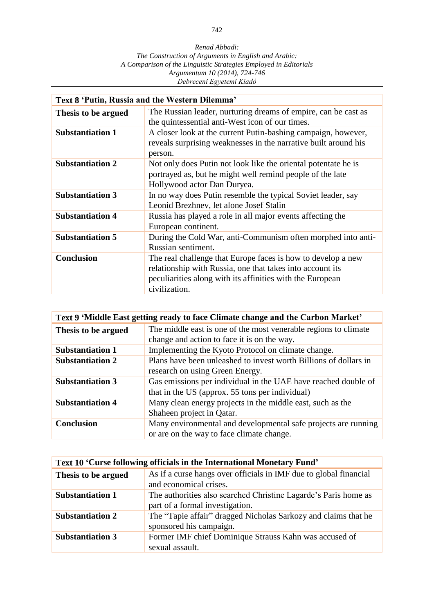| Text 8 'Putin, Russia and the Western Dilemma' |                                                                                                                                                                                                         |
|------------------------------------------------|---------------------------------------------------------------------------------------------------------------------------------------------------------------------------------------------------------|
| Thesis to be argued                            | The Russian leader, nurturing dreams of empire, can be cast as<br>the quintessential anti-West icon of our times.                                                                                       |
| <b>Substantiation 1</b>                        | A closer look at the current Putin-bashing campaign, however,<br>reveals surprising weaknesses in the narrative built around his<br>person.                                                             |
| <b>Substantiation 2</b>                        | Not only does Putin not look like the oriental potentate he is<br>portrayed as, but he might well remind people of the late<br>Hollywood actor Dan Duryea.                                              |
| <b>Substantiation 3</b>                        | In no way does Putin resemble the typical Soviet leader, say<br>Leonid Brezhnev, let alone Josef Stalin                                                                                                 |
| <b>Substantiation 4</b>                        | Russia has played a role in all major events affecting the<br>European continent.                                                                                                                       |
| <b>Substantiation 5</b>                        | During the Cold War, anti-Communism often morphed into anti-<br>Russian sentiment.                                                                                                                      |
| <b>Conclusion</b>                              | The real challenge that Europe faces is how to develop a new<br>relationship with Russia, one that takes into account its<br>peculiarities along with its affinities with the European<br>civilization. |

| Text 9 'Middle East getting ready to face Climate change and the Carbon Market' |                                                                  |
|---------------------------------------------------------------------------------|------------------------------------------------------------------|
| Thesis to be argued                                                             | The middle east is one of the most venerable regions to climate  |
|                                                                                 | change and action to face it is on the way.                      |
| <b>Substantiation 1</b>                                                         | Implementing the Kyoto Protocol on climate change.               |
| <b>Substantiation 2</b>                                                         | Plans have been unleashed to invest worth Billions of dollars in |
|                                                                                 | research on using Green Energy.                                  |
| <b>Substantiation 3</b>                                                         | Gas emissions per individual in the UAE have reached double of   |
|                                                                                 | that in the US (approx. 55 tons per individual)                  |
| <b>Substantiation 4</b>                                                         | Many clean energy projects in the middle east, such as the       |
|                                                                                 | Shaheen project in Qatar.                                        |
| <b>Conclusion</b>                                                               | Many environmental and developmental safe projects are running   |
|                                                                                 | or are on the way to face climate change.                        |

| Text 10 'Curse following officials in the International Monetary Fund' |                                                                                                    |
|------------------------------------------------------------------------|----------------------------------------------------------------------------------------------------|
| Thesis to be argued                                                    | As if a curse hangs over officials in IMF due to global financial<br>and economical crises.        |
| <b>Substantiation 1</b>                                                | The authorities also searched Christine Lagarde's Paris home as<br>part of a formal investigation. |
| <b>Substantiation 2</b>                                                | The "Tapie affair" dragged Nicholas Sarkozy and claims that he<br>sponsored his campaign.          |
| <b>Substantiation 3</b>                                                | Former IMF chief Dominique Strauss Kahn was accused of<br>sexual assault.                          |

742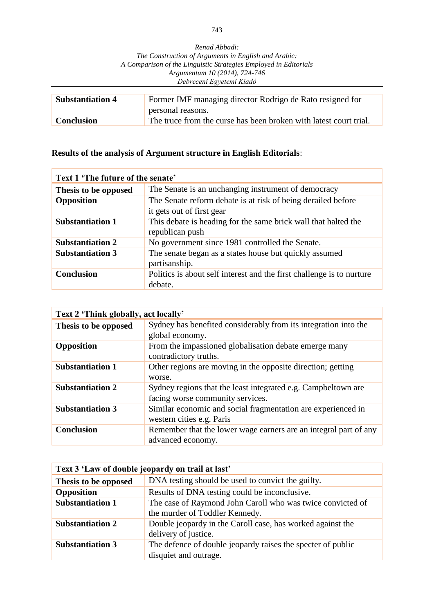| Renad Abbadi:                                                    |
|------------------------------------------------------------------|
| The Construction of Arguments in English and Arabic:             |
| A Comparison of the Linguistic Strategies Employed in Editorials |
| Argumentum 10 (2014), 724-746                                    |
| Debreceni Egyetemi Kiadó                                         |

| <b>Substantiation 4</b> | Former IMF managing director Rodrigo de Rato resigned for<br>personal reasons. |
|-------------------------|--------------------------------------------------------------------------------|
| <b>Conclusion</b>       | The truce from the curse has been broken with latest court trial.              |

## **Results of the analysis of Argument structure in English Editorials**:

| Text 1 'The future of the senate' |                                                                                           |
|-----------------------------------|-------------------------------------------------------------------------------------------|
| Thesis to be opposed              | The Senate is an unchanging instrument of democracy                                       |
| Opposition                        | The Senate reform debate is at risk of being derailed before<br>it gets out of first gear |
| <b>Substantiation 1</b>           | This debate is heading for the same brick wall that halted the<br>republican push         |
| <b>Substantiation 2</b>           | No government since 1981 controlled the Senate.                                           |
| <b>Substantiation 3</b>           | The senate began as a states house but quickly assumed<br>partisanship.                   |
| <b>Conclusion</b>                 | Politics is about self interest and the first challenge is to nurture<br>debate.          |

| Text 2 'Think globally, act locally' |                                                                  |
|--------------------------------------|------------------------------------------------------------------|
| Thesis to be opposed                 | Sydney has benefited considerably from its integration into the  |
|                                      | global economy.                                                  |
| <b>Opposition</b>                    | From the impassioned globalisation debate emerge many            |
|                                      | contradictory truths.                                            |
| <b>Substantiation 1</b>              | Other regions are moving in the opposite direction; getting      |
|                                      | worse.                                                           |
| <b>Substantiation 2</b>              | Sydney regions that the least integrated e.g. Campbeltown are    |
|                                      | facing worse community services.                                 |
| <b>Substantiation 3</b>              | Similar economic and social fragmentation are experienced in     |
|                                      | western cities e.g. Paris                                        |
| <b>Conclusion</b>                    | Remember that the lower wage earners are an integral part of any |
|                                      | advanced economy.                                                |

| Text 3 'Law of double jeopardy on trail at last' |                                                                                              |
|--------------------------------------------------|----------------------------------------------------------------------------------------------|
| Thesis to be opposed                             | DNA testing should be used to convict the guilty.                                            |
| Opposition                                       | Results of DNA testing could be inconclusive.                                                |
| <b>Substantiation 1</b>                          | The case of Raymond John Caroll who was twice convicted of<br>the murder of Toddler Kennedy. |
| <b>Substantiation 2</b>                          | Double jeopardy in the Caroll case, has worked against the<br>delivery of justice.           |
| <b>Substantiation 3</b>                          | The defence of double jeopardy raises the specter of public<br>disquiet and outrage.         |

743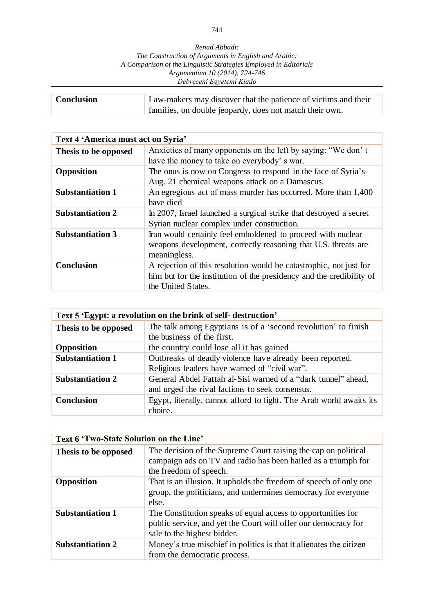| <b>Conclusion</b> | Law-makers may discover that the patience of victims and their |
|-------------------|----------------------------------------------------------------|
|                   | families, on double jeopardy, does not match their own.        |

| Text 4 'America must act on Syria' |                                                                      |
|------------------------------------|----------------------------------------------------------------------|
| Thesis to be opposed               | Anxieties of many opponents on the left by saying: "We don't         |
|                                    | have the money to take on everybody's war.                           |
| <b>Opposition</b>                  | The onus is now on Congress to respond in the face of Syria's        |
|                                    | Aug. 21 chemical weapons attack on a Damascus.                       |
| <b>Substantiation 1</b>            | An egregious act of mass murder has occurred. More than 1,400        |
|                                    | have died                                                            |
| <b>Substantiation 2</b>            | In 2007, Israel launched a surgical strike that destroyed a secret   |
|                                    | Syrian nuclear complex under construction.                           |
| <b>Substantiation 3</b>            | Iran would certainly feel emboldened to proceed with nuclear         |
|                                    | weapons development, correctly reasoning that U.S. threats are       |
|                                    | meaningless.                                                         |
| <b>Conclusion</b>                  | A rejection of this resolution would be catastrophic, not just for   |
|                                    | him but for the institution of the presidency and the credibility of |
|                                    | the United States.                                                   |

| Text 5 'Egypt: a revolution on the brink of self-destruction' |                                                                                                                  |
|---------------------------------------------------------------|------------------------------------------------------------------------------------------------------------------|
| Thesis to be opposed                                          | The talk among Egyptians is of a 'second revolution' to finish<br>the business of the first.                     |
| Opposition                                                    | the country could lose all it has gained                                                                         |
| <b>Substantiation 1</b>                                       | Outbreaks of deadly violence have already been reported.<br>Religious leaders have warned of "civil war".        |
| <b>Substantiation 2</b>                                       | General Abdel Fattah al-Sisi warned of a "dark tunnel" ahead,<br>and urged the rival factions to seek consensus. |
| <b>Conclusion</b>                                             | Egypt, literally, cannot afford to fight. The Arab world awaits its<br>choice.                                   |

| Text 6 'Two-State Solution on the Line' |                                                                                                                                                               |
|-----------------------------------------|---------------------------------------------------------------------------------------------------------------------------------------------------------------|
| Thesis to be opposed                    | The decision of the Supreme Court raising the cap on political<br>campaign ads on TV and radio has been hailed as a triumph for<br>the freedom of speech.     |
| Opposition                              | That is an illusion. It upholds the freedom of speech of only one<br>group, the politicians, and undermines democracy for everyone<br>else.                   |
| <b>Substantiation 1</b>                 | The Constitution speaks of equal access to opportunities for<br>public service, and yet the Court will offer our democracy for<br>sale to the highest bidder. |
| <b>Substantiation 2</b>                 | Money's true mischief in politics is that it alienates the citizen<br>from the democratic process.                                                            |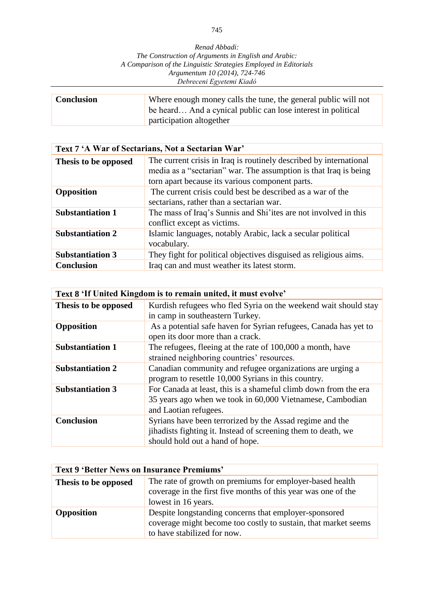| <b>Conclusion</b> | Where enough money calls the tune, the general public will not<br>be heard And a cynical public can lose interest in political |
|-------------------|--------------------------------------------------------------------------------------------------------------------------------|
|                   | participation altogether                                                                                                       |

| Text 7 'A War of Sectarians, Not a Sectarian War' |                                                                                                                                                                                           |
|---------------------------------------------------|-------------------------------------------------------------------------------------------------------------------------------------------------------------------------------------------|
| Thesis to be opposed                              | The current crisis in Iraq is routinely described by international<br>media as a "sectarian" war. The assumption is that Iraq is being<br>torn apart because its various component parts. |
| Opposition                                        | The current crisis could best be described as a war of the<br>sectarians, rather than a sectarian war.                                                                                    |
| <b>Substantiation 1</b>                           | The mass of Iraq's Sunnis and Shi'ites are not involved in this<br>conflict except as victims.                                                                                            |
| <b>Substantiation 2</b>                           | Islamic languages, notably Arabic, lack a secular political<br>vocabulary.                                                                                                                |
| <b>Substantiation 3</b>                           | They fight for political objectives disguised as religious aims.                                                                                                                          |
| <b>Conclusion</b>                                 | Iraq can and must weather its latest storm.                                                                                                                                               |

| Text 8 'If United Kingdom is to remain united, it must evolve' |                                                                  |
|----------------------------------------------------------------|------------------------------------------------------------------|
| Thesis to be opposed                                           | Kurdish refugees who fled Syria on the weekend wait should stay  |
|                                                                | in camp in southeastern Turkey.                                  |
| Opposition                                                     | As a potential safe haven for Syrian refugees, Canada has yet to |
|                                                                | open its door more than a crack.                                 |
| <b>Substantiation 1</b>                                        | The refugees, fleeing at the rate of 100,000 a month, have       |
|                                                                | strained neighboring countries' resources.                       |
| <b>Substantiation 2</b>                                        | Canadian community and refugee organizations are urging a        |
|                                                                | program to resettle 10,000 Syrians in this country.              |
| <b>Substantiation 3</b>                                        | For Canada at least, this is a shameful climb down from the era  |
|                                                                | 35 years ago when we took in 60,000 Vietnamese, Cambodian        |
|                                                                | and Laotian refugees.                                            |
| <b>Conclusion</b>                                              | Syrians have been terrorized by the Assad regime and the         |
|                                                                | jihadists fighting it. Instead of screening them to death, we    |
|                                                                | should hold out a hand of hope.                                  |

| <b>Text 9 'Better News on Insurance Premiums'</b> |                                                                                                                                                        |
|---------------------------------------------------|--------------------------------------------------------------------------------------------------------------------------------------------------------|
| Thesis to be opposed                              | The rate of growth on premiums for employer-based health<br>coverage in the first five months of this year was one of the<br>lowest in 16 years.       |
| <b>Opposition</b>                                 | Despite longstanding concerns that employer-sponsored<br>coverage might become too costly to sustain, that market seems<br>to have stabilized for now. |

745